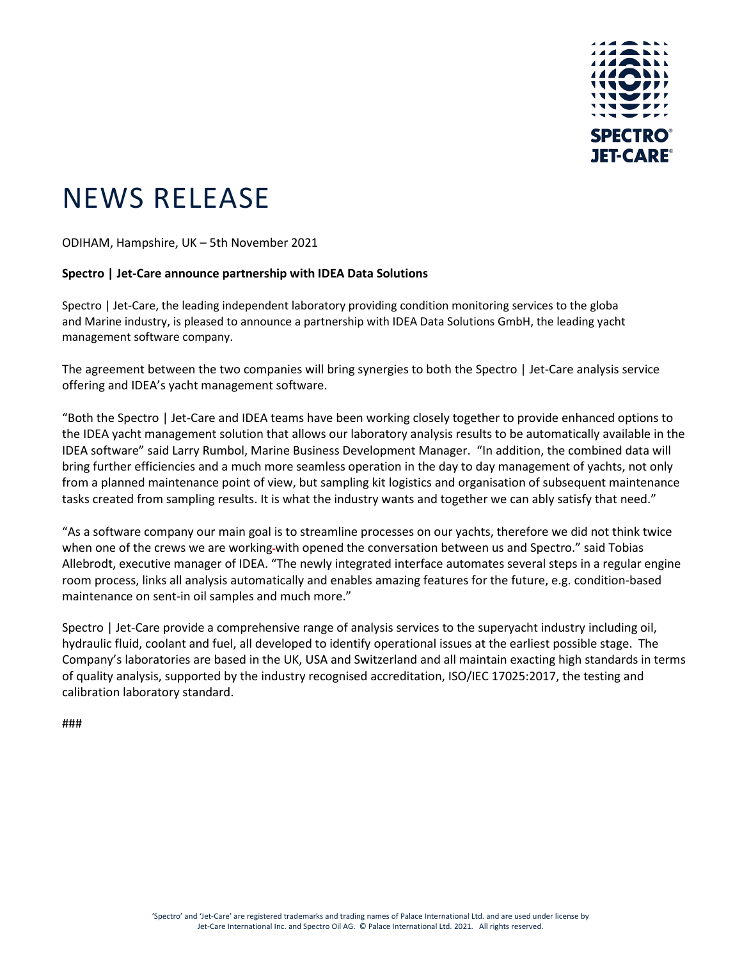

## NEWS RELEASE

ODIHAM, Hampshire, UK – 5th November 2021

## **Spectro | Jet-Care announce partnership with IDEA Data Solutions**

Spectro | Jet-Care, the leading independent laboratory providing condition monitoring services to the global and Marine industry, is pleased to announce a partnership with IDEA Data Solutions GmbH, the leading yacht management software company.

The agreement between the two companies will bring synergies to both the Spectro | Jet-Care analysis service offering and IDEA's yacht management software.

"Both the Spectro | Jet-Care and IDEA teams have been working closely together to provide enhanced options to the IDEA yacht management solution that allows our laboratory analysis results to be automatically available in the IDEA software" said Larry Rumbol, Marine Business Development Manager. "In addition, the combined data will bring further efficiencies and a much more seamless operation in the day to day management of yachts, not only from a planned maintenance point of view, but sampling kit logistics and organisation of subsequent maintenance tasks created from sampling results. It is what the industry wants and together we can ably satisfy that need."

"As a software company our main goal is to streamline processes on our yachts, therefore we did not think twice when one of the crews we are working-with opened the conversation between us and Spectro." said Tobias Allebrodt, executive manager of IDEA. "The newly integrated interface automates several steps in a regular engine room process, links all analysis automatically and enables amazing features for the future, e.g. condition-based maintenance on sent-in oil samples and much more."

Spectro | Jet-Care provide a comprehensive range of analysis services to the superyacht industry including oil, hydraulic fluid, coolant and fuel, all developed to identify operational issues at the earliest possible stage. The Company's laboratories are based in the UK, USA and Switzerland and all maintain exacting high standards in terms of quality analysis, supported by the industry recognised accreditation, ISO/IEC 17025:2017, the testing and calibration laboratory standard.

###